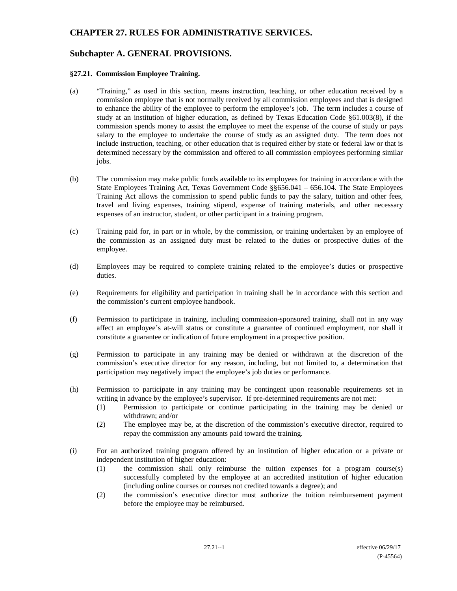# **CHAPTER 27. RULES FOR ADMINISTRATIVE SERVICES.**

## **Subchapter A. GENERAL PROVISIONS.**

#### **§27.21. Commission Employee Training.**

- (a) "Training," as used in this section, means instruction, teaching, or other education received by a commission employee that is not normally received by all commission employees and that is designed to enhance the ability of the employee to perform the employee's job. The term includes a course of study at an institution of higher education, as defined by Texas Education Code §61.003(8), if the commission spends money to assist the employee to meet the expense of the course of study or pays salary to the employee to undertake the course of study as an assigned duty. The term does not include instruction, teaching, or other education that is required either by state or federal law or that is determined necessary by the commission and offered to all commission employees performing similar jobs.
- (b) The commission may make public funds available to its employees for training in accordance with the State Employees Training Act, Texas Government Code §§656.041 – 656.104. The State Employees Training Act allows the commission to spend public funds to pay the salary, tuition and other fees, travel and living expenses, training stipend, expense of training materials, and other necessary expenses of an instructor, student, or other participant in a training program.
- (c) Training paid for, in part or in whole, by the commission, or training undertaken by an employee of the commission as an assigned duty must be related to the duties or prospective duties of the employee.
- (d) Employees may be required to complete training related to the employee's duties or prospective duties.
- (e) Requirements for eligibility and participation in training shall be in accordance with this section and the commission's current employee handbook.
- (f) Permission to participate in training, including commission-sponsored training, shall not in any way affect an employee's at-will status or constitute a guarantee of continued employment, nor shall it constitute a guarantee or indication of future employment in a prospective position.
- (g) Permission to participate in any training may be denied or withdrawn at the discretion of the commission's executive director for any reason, including, but not limited to, a determination that participation may negatively impact the employee's job duties or performance.
- (h) Permission to participate in any training may be contingent upon reasonable requirements set in writing in advance by the employee's supervisor. If pre-determined requirements are not met:
	- (1) Permission to participate or continue participating in the training may be denied or withdrawn; and/or
	- (2) The employee may be, at the discretion of the commission's executive director, required to repay the commission any amounts paid toward the training.
- (i) For an authorized training program offered by an institution of higher education or a private or independent institution of higher education:
	- (1) the commission shall only reimburse the tuition expenses for a program course(s) successfully completed by the employee at an accredited institution of higher education (including online courses or courses not credited towards a degree); and
	- (2) the commission's executive director must authorize the tuition reimbursement payment before the employee may be reimbursed.